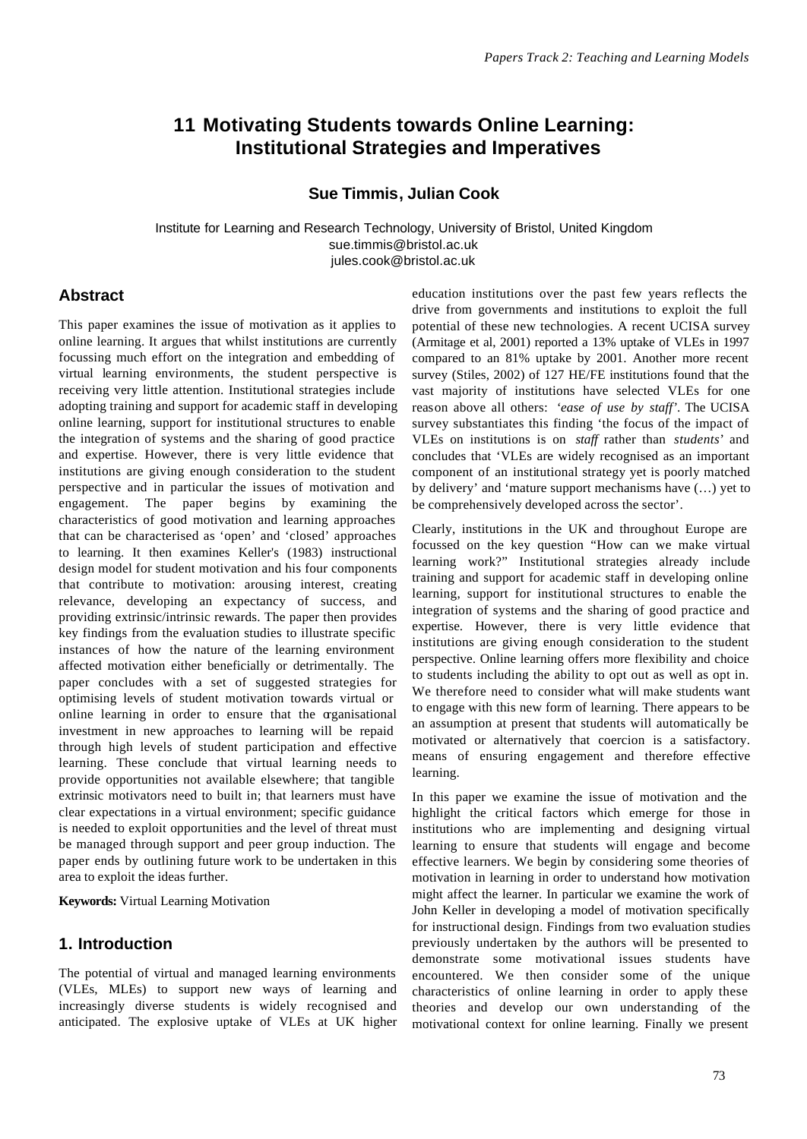# **11 Motivating Students towards Online Learning: Institutional Strategies and Imperatives**

**Sue Timmis, Julian Cook**

Institute for Learning and Research Technology, University of Bristol, United Kingdom sue.timmis@bristol.ac.uk jules.cook@bristol.ac.uk

## **Abstract**

This paper examines the issue of motivation as it applies to online learning. It argues that whilst institutions are currently focussing much effort on the integration and embedding of virtual learning environments, the student perspective is receiving very little attention. Institutional strategies include adopting training and support for academic staff in developing online learning, support for institutional structures to enable the integration of systems and the sharing of good practice and expertise. However, there is very little evidence that institutions are giving enough consideration to the student perspective and in particular the issues of motivation and engagement. The paper begins by examining the characteristics of good motivation and learning approaches that can be characterised as 'open' and 'closed' approaches to learning. It then examines Keller's (1983) instructional design model for student motivation and his four components that contribute to motivation: arousing interest, creating relevance, developing an expectancy of success, and providing extrinsic/intrinsic rewards. The paper then provides key findings from the evaluation studies to illustrate specific instances of how the nature of the learning environment affected motivation either beneficially or detrimentally. The paper concludes with a set of suggested strategies for optimising levels of student motivation towards virtual or online learning in order to ensure that the organisational investment in new approaches to learning will be repaid through high levels of student participation and effective learning. These conclude that virtual learning needs to provide opportunities not available elsewhere; that tangible extrinsic motivators need to built in; that learners must have clear expectations in a virtual environment; specific guidance is needed to exploit opportunities and the level of threat must be managed through support and peer group induction. The paper ends by outlining future work to be undertaken in this area to exploit the ideas further.

**Keywords:** Virtual Learning Motivation

## **1. Introduction**

The potential of virtual and managed learning environments (VLEs, MLEs) to support new ways of learning and increasingly diverse students is widely recognised and anticipated. The explosive uptake of VLEs at UK higher education institutions over the past few years reflects the drive from governments and institutions to exploit the full potential of these new technologies. A recent UCISA survey (Armitage et al, 2001) reported a 13% uptake of VLEs in 1997 compared to an 81% uptake by 2001. Another more recent survey (Stiles, 2002) of 127 HE/FE institutions found that the vast majority of institutions have selected VLEs for one reason above all others: *'ease of use by staff'*. The UCISA survey substantiates this finding 'the focus of the impact of VLEs on institutions is on *staff* rather than *students*' and concludes that 'VLEs are widely recognised as an important component of an institutional strategy yet is poorly matched by delivery' and 'mature support mechanisms have (…) yet to be comprehensively developed across the sector'.

Clearly, institutions in the UK and throughout Europe are focussed on the key question "How can we make virtual learning work?" Institutional strategies already include training and support for academic staff in developing online learning, support for institutional structures to enable the integration of systems and the sharing of good practice and expertise. However, there is very little evidence that institutions are giving enough consideration to the student perspective. Online learning offers more flexibility and choice to students including the ability to opt out as well as opt in. We therefore need to consider what will make students want to engage with this new form of learning. There appears to be an assumption at present that students will automatically be motivated or alternatively that coercion is a satisfactory. means of ensuring engagement and therefore effective learning.

In this paper we examine the issue of motivation and the highlight the critical factors which emerge for those in institutions who are implementing and designing virtual learning to ensure that students will engage and become effective learners. We begin by considering some theories of motivation in learning in order to understand how motivation might affect the learner. In particular we examine the work of John Keller in developing a model of motivation specifically for instructional design. Findings from two evaluation studies previously undertaken by the authors will be presented to demonstrate some motivational issues students have encountered. We then consider some of the unique characteristics of online learning in order to apply these theories and develop our own understanding of the motivational context for online learning. Finally we present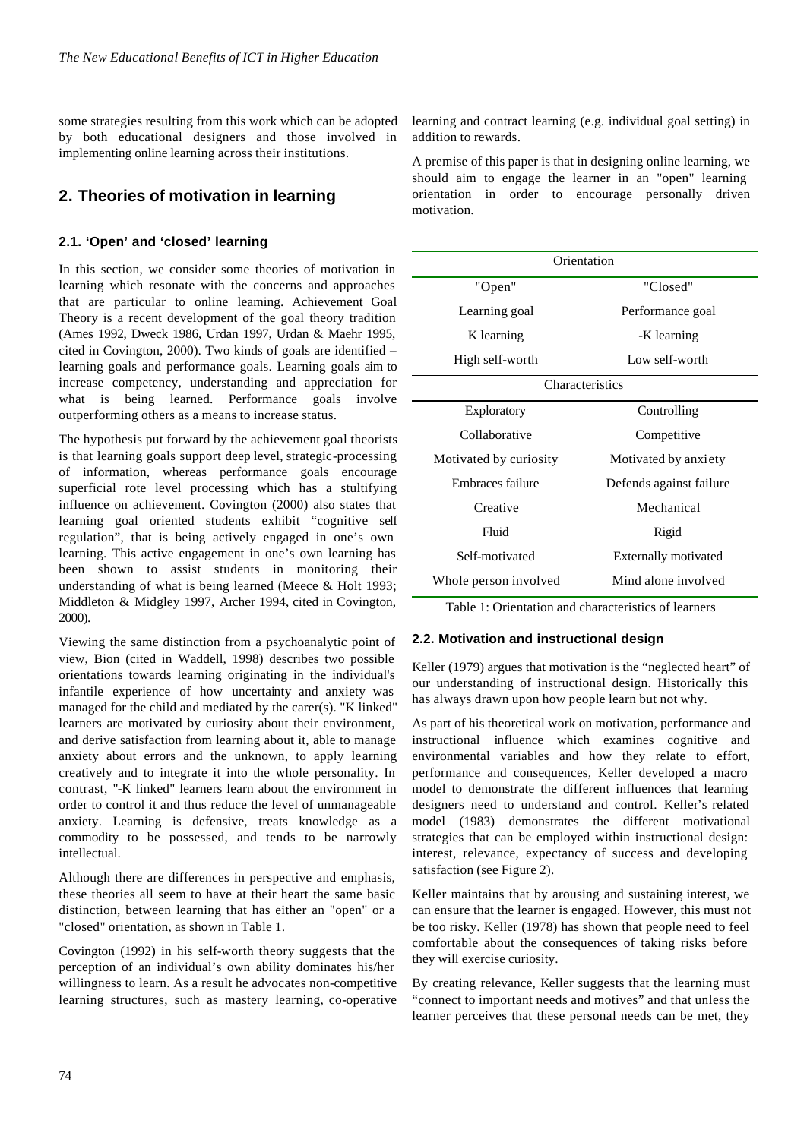some strategies resulting from this work which can be adopted by both educational designers and those involved in implementing online learning across their institutions.

## **2. Theories of motivation in learning**

### **2.1. 'Open' and 'closed' learning**

In this section, we consider some theories of motivation in learning which resonate with the concerns and approaches that are particular to online learning. Achievement Goal Theory is a recent development of the goal theory tradition (Ames 1992, Dweck 1986, Urdan 1997, Urdan & Maehr 1995, cited in Covington, 2000). Two kinds of goals are identified – learning goals and performance goals. Learning goals aim to increase competency, understanding and appreciation for what is being learned. Performance goals involve outperforming others as a means to increase status.

The hypothesis put forward by the achievement goal theorists is that learning goals support deep level, strategic-processing of information, whereas performance goals encourage superficial rote level processing which has a stultifying influence on achievement. Covington (2000) also states that learning goal oriented students exhibit "cognitive self regulation", that is being actively engaged in one's own learning. This active engagement in one's own learning has been shown to assist students in monitoring their understanding of what is being learned (Meece & Holt 1993; Middleton & Midgley 1997, Archer 1994, cited in Covington, 2000).

Viewing the same distinction from a psychoanalytic point of view, Bion (cited in Waddell, 1998) describes two possible orientations towards learning originating in the individual's infantile experience of how uncertainty and anxiety was managed for the child and mediated by the carer(s). "K linked" learners are motivated by curiosity about their environment, and derive satisfaction from learning about it, able to manage anxiety about errors and the unknown, to apply learning creatively and to integrate it into the whole personality. In contrast, "-K linked" learners learn about the environment in order to control it and thus reduce the level of unmanageable anxiety. Learning is defensive, treats knowledge as a commodity to be possessed, and tends to be narrowly intellectual.

Although there are differences in perspective and emphasis, these theories all seem to have at their heart the same basic distinction, between learning that has either an "open" or a "closed" orientation, as shown in Table 1.

Covington (1992) in his self-worth theory suggests that the perception of an individual's own ability dominates his/her willingness to learn. As a result he advocates non-competitive learning structures, such as mastery learning, co-operative learning and contract learning (e.g. individual goal setting) in addition to rewards.

A premise of this paper is that in designing online learning, we should aim to engage the learner in an "open" learning orientation in order to encourage personally driven motivation.

| Orientation            |                         |
|------------------------|-------------------------|
| "Open"                 | "Closed"                |
| Learning goal          | Performance goal        |
| K learning             | -K learning             |
| High self-worth        | Low self-worth          |
| Characteristics        |                         |
| <b>Exploratory</b>     | Controlling             |
| Collaborative          | Competitive             |
| Motivated by curiosity | Motivated by anxiety    |
| Embraces failure       | Defends against failure |
| Creative               | Mechanical              |
| Fluid                  | Rigid                   |
| Self-motivated         | Externally motivated    |
| Whole person involved  | Mind alone involved     |

Table 1: Orientation and characteristics of learners

#### **2.2. Motivation and instructional design**

Keller (1979) argues that motivation is the "neglected heart" of our understanding of instructional design. Historically this has always drawn upon how people learn but not why.

As part of his theoretical work on motivation, performance and instructional influence which examines cognitive and environmental variables and how they relate to effort, performance and consequences, Keller developed a macro model to demonstrate the different influences that learning designers need to understand and control. Keller's related model (1983) demonstrates the different motivational strategies that can be employed within instructional design: interest, relevance, expectancy of success and developing satisfaction (see Figure 2).

Keller maintains that by arousing and sustaining interest, we can ensure that the learner is engaged. However, this must not be too risky. Keller (1978) has shown that people need to feel comfortable about the consequences of taking risks before they will exercise curiosity.

By creating relevance, Keller suggests that the learning must "connect to important needs and motives" and that unless the learner perceives that these personal needs can be met, they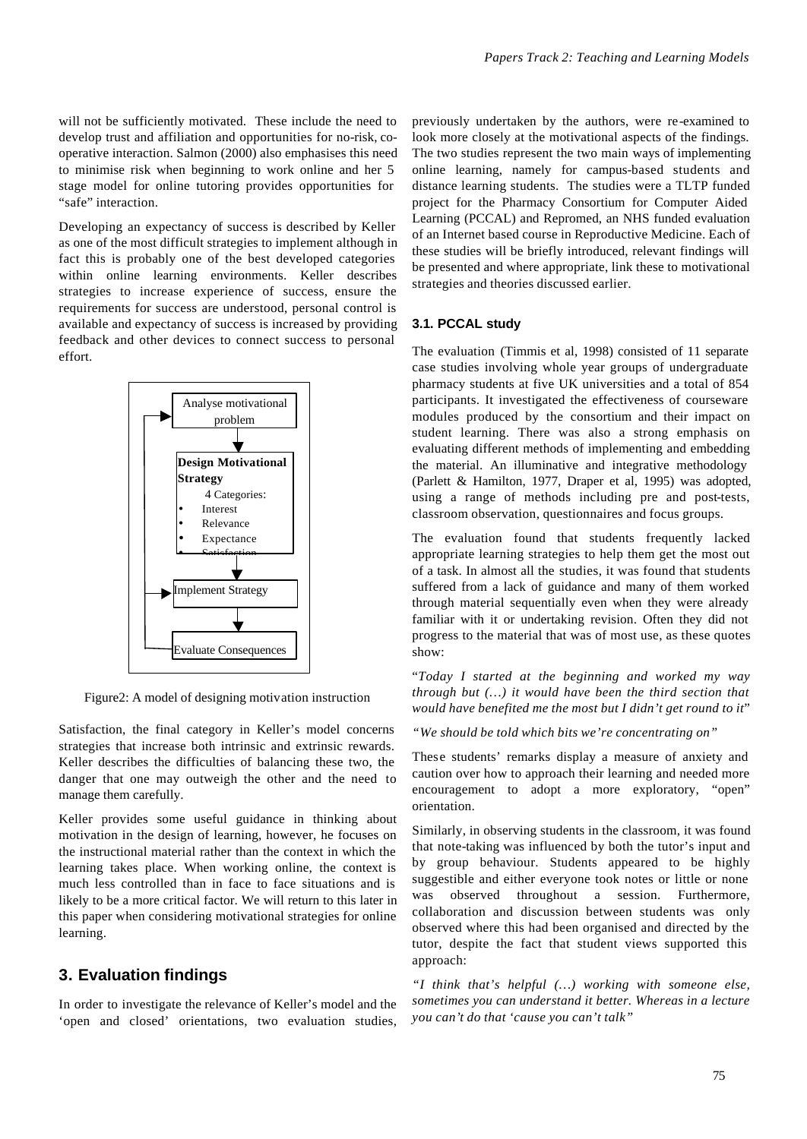will not be sufficiently motivated. These include the need to develop trust and affiliation and opportunities for no-risk, cooperative interaction. Salmon (2000) also emphasises this need to minimise risk when beginning to work online and her 5 stage model for online tutoring provides opportunities for "safe" interaction.

Developing an expectancy of success is described by Keller as one of the most difficult strategies to implement although in fact this is probably one of the best developed categories within online learning environments. Keller describes strategies to increase experience of success, ensure the requirements for success are understood, personal control is available and expectancy of success is increased by providing feedback and other devices to connect success to personal effort.



Figure2: A model of designing motivation instruction

Satisfaction, the final category in Keller's model concerns strategies that increase both intrinsic and extrinsic rewards. Keller describes the difficulties of balancing these two, the danger that one may outweigh the other and the need to manage them carefully.

Keller provides some useful guidance in thinking about motivation in the design of learning, however, he focuses on the instructional material rather than the context in which the learning takes place. When working online, the context is much less controlled than in face to face situations and is likely to be a more critical factor. We will return to this later in this paper when considering motivational strategies for online learning.

## **3. Evaluation findings**

In order to investigate the relevance of Keller's model and the 'open and closed' orientations, two evaluation studies, previously undertaken by the authors, were re-examined to look more closely at the motivational aspects of the findings. The two studies represent the two main ways of implementing online learning, namely for campus-based students and distance learning students. The studies were a TLTP funded project for the Pharmacy Consortium for Computer Aided Learning (PCCAL) and Repromed, an NHS funded evaluation of an Internet based course in Reproductive Medicine. Each of these studies will be briefly introduced, relevant findings will be presented and where appropriate, link these to motivational strategies and theories discussed earlier.

#### **3.1. PCCAL study**

The evaluation (Timmis et al, 1998) consisted of 11 separate case studies involving whole year groups of undergraduate pharmacy students at five UK universities and a total of 854 participants. It investigated the effectiveness of courseware modules produced by the consortium and their impact on student learning. There was also a strong emphasis on evaluating different methods of implementing and embedding the material. An illuminative and integrative methodology (Parlett & Hamilton, 1977, Draper et al, 1995) was adopted, using a range of methods including pre and post-tests, classroom observation, questionnaires and focus groups.

The evaluation found that students frequently lacked appropriate learning strategies to help them get the most out of a task. In almost all the studies, it was found that students suffered from a lack of guidance and many of them worked through material sequentially even when they were already familiar with it or undertaking revision. Often they did not progress to the material that was of most use, as these quotes show:

"*Today I started at the beginning and worked my way through but (…) it would have been the third section that would have benefited me the most but I didn't get round to it*"

*"We should be told which bits we're concentrating on"*

These students' remarks display a measure of anxiety and caution over how to approach their learning and needed more encouragement to adopt a more exploratory, "open" orientation.

Similarly, in observing students in the classroom, it was found that note-taking was influenced by both the tutor's input and by group behaviour. Students appeared to be highly suggestible and either everyone took notes or little or none was observed throughout a session. Furthermore, collaboration and discussion between students was only observed where this had been organised and directed by the tutor, despite the fact that student views supported this approach:

*"I think that's helpful (…) working with someone else, sometimes you can understand it better. Whereas in a lecture you can't do that 'cause you can't talk"*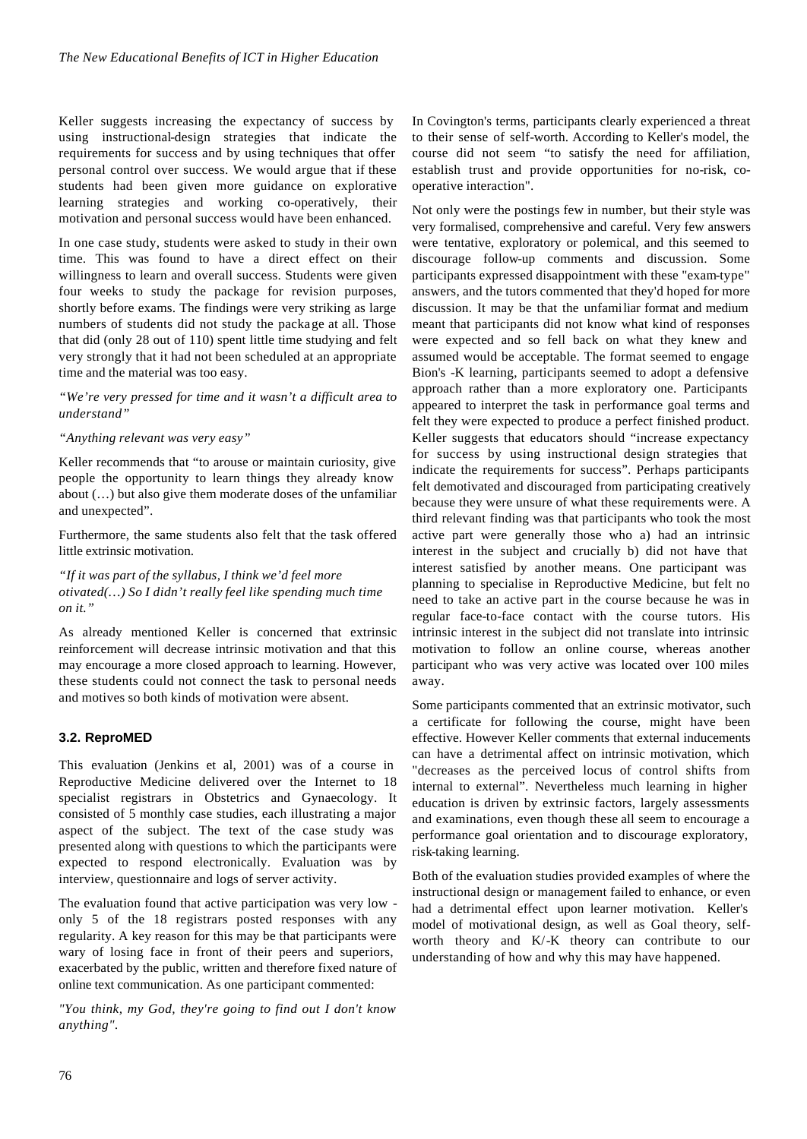Keller suggests increasing the expectancy of success by using instructional-design strategies that indicate the requirements for success and by using techniques that offer personal control over success. We would argue that if these students had been given more guidance on explorative learning strategies and working co-operatively, their motivation and personal success would have been enhanced.

In one case study, students were asked to study in their own time. This was found to have a direct effect on their willingness to learn and overall success. Students were given four weeks to study the package for revision purposes, shortly before exams. The findings were very striking as large numbers of students did not study the package at all. Those that did (only 28 out of 110) spent little time studying and felt very strongly that it had not been scheduled at an appropriate time and the material was too easy.

*"We're very pressed for time and it wasn't a difficult area to understand"*

#### *"Anything relevant was very easy"*

Keller recommends that "to arouse or maintain curiosity, give people the opportunity to learn things they already know about (…) but also give them moderate doses of the unfamiliar and unexpected".

Furthermore, the same students also felt that the task offered little extrinsic motivation.

*"If it was part of the syllabus, I think we'd feel more otivated(…) So I didn't really feel like spending much time on it."*

As already mentioned Keller is concerned that extrinsic reinforcement will decrease intrinsic motivation and that this may encourage a more closed approach to learning. However, these students could not connect the task to personal needs and motives so both kinds of motivation were absent.

## **3.2. ReproMED**

This evaluation (Jenkins et al, 2001) was of a course in Reproductive Medicine delivered over the Internet to 18 specialist registrars in Obstetrics and Gynaecology. It consisted of 5 monthly case studies, each illustrating a major aspect of the subject. The text of the case study was presented along with questions to which the participants were expected to respond electronically. Evaluation was by interview, questionnaire and logs of server activity.

The evaluation found that active participation was very low only 5 of the 18 registrars posted responses with any regularity. A key reason for this may be that participants were wary of losing face in front of their peers and superiors, exacerbated by the public, written and therefore fixed nature of online text communication. As one participant commented:

*"You think, my God, they're going to find out I don't know anything".*

In Covington's terms, participants clearly experienced a threat to their sense of self-worth. According to Keller's model, the course did not seem "to satisfy the need for affiliation, establish trust and provide opportunities for no-risk, cooperative interaction".

Not only were the postings few in number, but their style was very formalised, comprehensive and careful. Very few answers were tentative, exploratory or polemical, and this seemed to discourage follow-up comments and discussion. Some participants expressed disappointment with these "exam-type" answers, and the tutors commented that they'd hoped for more discussion. It may be that the unfamiliar format and medium meant that participants did not know what kind of responses were expected and so fell back on what they knew and assumed would be acceptable. The format seemed to engage Bion's -K learning, participants seemed to adopt a defensive approach rather than a more exploratory one. Participants appeared to interpret the task in performance goal terms and felt they were expected to produce a perfect finished product. Keller suggests that educators should "increase expectancy for success by using instructional design strategies that indicate the requirements for success". Perhaps participants felt demotivated and discouraged from participating creatively because they were unsure of what these requirements were. A third relevant finding was that participants who took the most active part were generally those who a) had an intrinsic interest in the subject and crucially b) did not have that interest satisfied by another means. One participant was planning to specialise in Reproductive Medicine, but felt no need to take an active part in the course because he was in regular face-to-face contact with the course tutors. His intrinsic interest in the subject did not translate into intrinsic motivation to follow an online course, whereas another participant who was very active was located over 100 miles away.

Some participants commented that an extrinsic motivator, such a certificate for following the course, might have been effective. However Keller comments that external inducements can have a detrimental affect on intrinsic motivation, which "decreases as the perceived locus of control shifts from internal to external". Nevertheless much learning in higher education is driven by extrinsic factors, largely assessments and examinations, even though these all seem to encourage a performance goal orientation and to discourage exploratory, risk-taking learning.

Both of the evaluation studies provided examples of where the instructional design or management failed to enhance, or even had a detrimental effect upon learner motivation. Keller's model of motivational design, as well as Goal theory, selfworth theory and K/-K theory can contribute to our understanding of how and why this may have happened.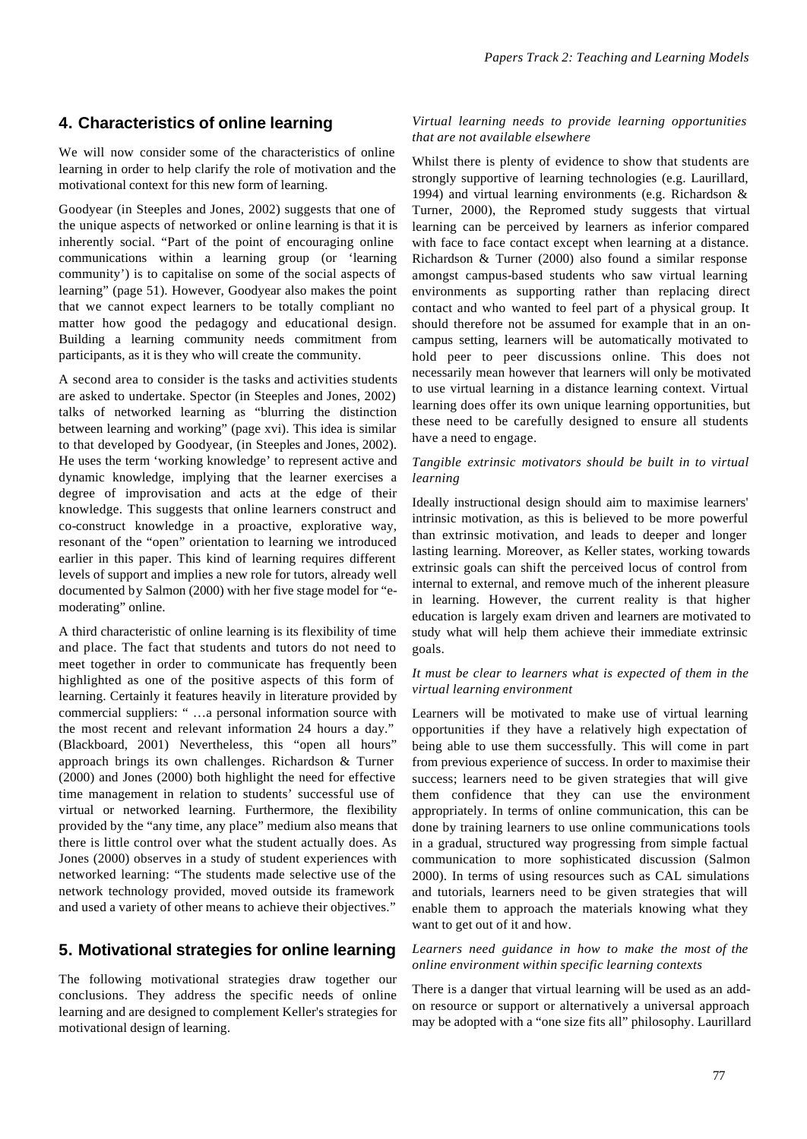## **4. Characteristics of online learning**

We will now consider some of the characteristics of online learning in order to help clarify the role of motivation and the motivational context for this new form of learning.

Goodyear (in Steeples and Jones, 2002) suggests that one of the unique aspects of networked or online learning is that it is inherently social. "Part of the point of encouraging online communications within a learning group (or 'learning community') is to capitalise on some of the social aspects of learning" (page 51). However, Goodyear also makes the point that we cannot expect learners to be totally compliant no matter how good the pedagogy and educational design. Building a learning community needs commitment from participants, as it is they who will create the community.

A second area to consider is the tasks and activities students are asked to undertake. Spector (in Steeples and Jones, 2002) talks of networked learning as "blurring the distinction between learning and working" (page xvi). This idea is similar to that developed by Goodyear, (in Steeples and Jones, 2002). He uses the term 'working knowledge' to represent active and dynamic knowledge, implying that the learner exercises a degree of improvisation and acts at the edge of their knowledge. This suggests that online learners construct and co-construct knowledge in a proactive, explorative way, resonant of the "open" orientation to learning we introduced earlier in this paper. This kind of learning requires different levels of support and implies a new role for tutors, already well documented by Salmon (2000) with her five stage model for "emoderating" online.

A third characteristic of online learning is its flexibility of time and place. The fact that students and tutors do not need to meet together in order to communicate has frequently been highlighted as one of the positive aspects of this form of learning. Certainly it features heavily in literature provided by commercial suppliers: " …a personal information source with the most recent and relevant information 24 hours a day." (Blackboard, 2001) Nevertheless, this "open all hours" approach brings its own challenges. Richardson & Turner (2000) and Jones (2000) both highlight the need for effective time management in relation to students' successful use of virtual or networked learning. Furthermore, the flexibility provided by the "any time, any place" medium also means that there is little control over what the student actually does. As Jones (2000) observes in a study of student experiences with networked learning: "The students made selective use of the network technology provided, moved outside its framework and used a variety of other means to achieve their objectives."

## **5. Motivational strategies for online learning**

The following motivational strategies draw together our conclusions. They address the specific needs of online learning and are designed to complement Keller's strategies for motivational design of learning.

#### *Virtual learning needs to provide learning opportunities that are not available elsewhere*

Whilst there is plenty of evidence to show that students are strongly supportive of learning technologies (e.g. Laurillard, 1994) and virtual learning environments (e.g. Richardson & Turner, 2000), the Repromed study suggests that virtual learning can be perceived by learners as inferior compared with face to face contact except when learning at a distance. Richardson & Turner (2000) also found a similar response amongst campus-based students who saw virtual learning environments as supporting rather than replacing direct contact and who wanted to feel part of a physical group. It should therefore not be assumed for example that in an oncampus setting, learners will be automatically motivated to hold peer to peer discussions online. This does not necessarily mean however that learners will only be motivated to use virtual learning in a distance learning context. Virtual learning does offer its own unique learning opportunities, but these need to be carefully designed to ensure all students have a need to engage.

#### *Tangible extrinsic motivators should be built in to virtual learning*

Ideally instructional design should aim to maximise learners' intrinsic motivation, as this is believed to be more powerful than extrinsic motivation, and leads to deeper and longer lasting learning. Moreover, as Keller states, working towards extrinsic goals can shift the perceived locus of control from internal to external, and remove much of the inherent pleasure in learning. However, the current reality is that higher education is largely exam driven and learners are motivated to study what will help them achieve their immediate extrinsic goals.

#### *It must be clear to learners what is expected of them in the virtual learning environment*

Learners will be motivated to make use of virtual learning opportunities if they have a relatively high expectation of being able to use them successfully. This will come in part from previous experience of success. In order to maximise their success; learners need to be given strategies that will give them confidence that they can use the environment appropriately. In terms of online communication, this can be done by training learners to use online communications tools in a gradual, structured way progressing from simple factual communication to more sophisticated discussion (Salmon 2000). In terms of using resources such as CAL simulations and tutorials, learners need to be given strategies that will enable them to approach the materials knowing what they want to get out of it and how.

#### *Learners need guidance in how to make the most of the online environment within specific learning contexts*

There is a danger that virtual learning will be used as an addon resource or support or alternatively a universal approach may be adopted with a "one size fits all" philosophy. Laurillard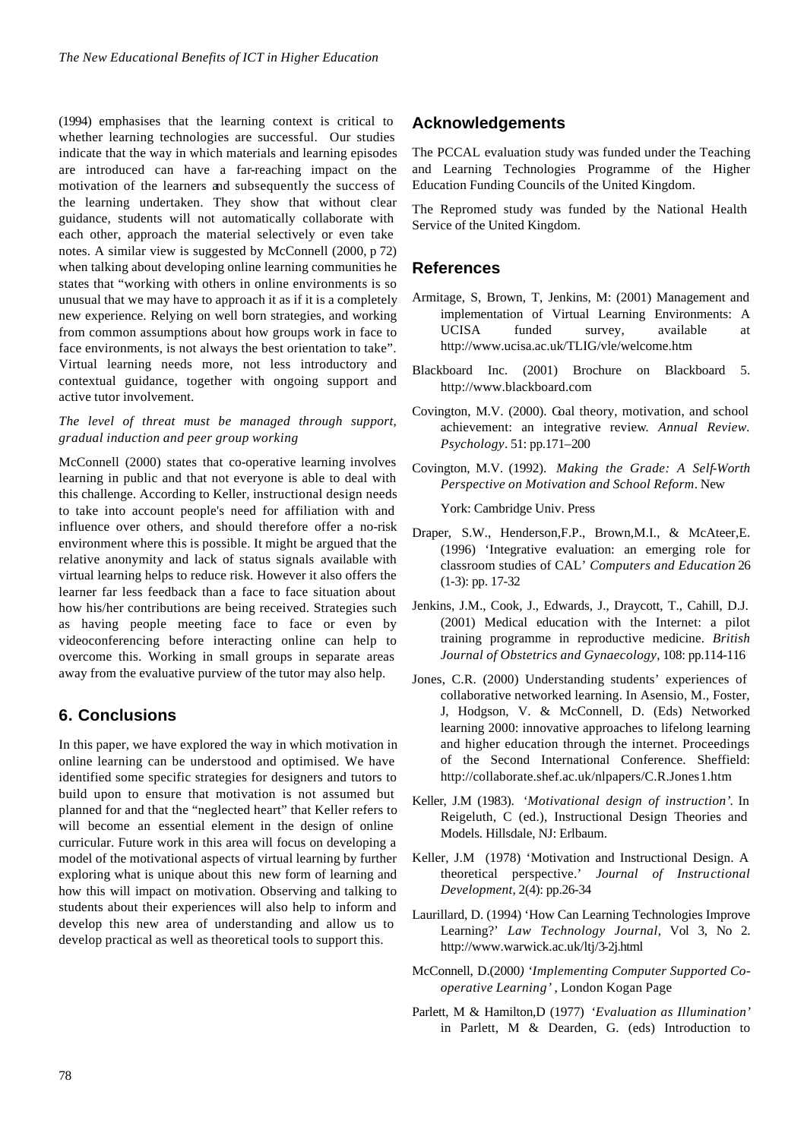(1994) emphasises that the learning context is critical to whether learning technologies are successful. Our studies indicate that the way in which materials and learning episodes are introduced can have a far-reaching impact on the motivation of the learners and subsequently the success of the learning undertaken. They show that without clear guidance, students will not automatically collaborate with each other, approach the material selectively or even take notes. A similar view is suggested by McConnell (2000, p 72) when talking about developing online learning communities he states that "working with others in online environments is so unusual that we may have to approach it as if it is a completely new experience. Relying on well born strategies, and working from common assumptions about how groups work in face to face environments, is not always the best orientation to take". Virtual learning needs more, not less introductory and contextual guidance, together with ongoing support and active tutor involvement.

#### *The level of threat must be managed through support, gradual induction and peer group working*

McConnell (2000) states that co-operative learning involves learning in public and that not everyone is able to deal with this challenge. According to Keller, instructional design needs to take into account people's need for affiliation with and influence over others, and should therefore offer a no-risk environment where this is possible. It might be argued that the relative anonymity and lack of status signals available with virtual learning helps to reduce risk. However it also offers the learner far less feedback than a face to face situation about how his/her contributions are being received. Strategies such as having people meeting face to face or even by videoconferencing before interacting online can help to overcome this. Working in small groups in separate areas away from the evaluative purview of the tutor may also help.

## **6. Conclusions**

In this paper, we have explored the way in which motivation in online learning can be understood and optimised. We have identified some specific strategies for designers and tutors to build upon to ensure that motivation is not assumed but planned for and that the "neglected heart" that Keller refers to will become an essential element in the design of online curricular. Future work in this area will focus on developing a model of the motivational aspects of virtual learning by further exploring what is unique about this new form of learning and how this will impact on motivation. Observing and talking to students about their experiences will also help to inform and develop this new area of understanding and allow us to develop practical as well as theoretical tools to support this.

## **Acknowledgements**

The PCCAL evaluation study was funded under the Teaching and Learning Technologies Programme of the Higher Education Funding Councils of the United Kingdom.

The Repromed study was funded by the National Health Service of the United Kingdom.

## **References**

- Armitage, S, Brown, T, Jenkins, M: (2001) Management and implementation of Virtual Learning Environments: A UCISA funded survey, available at http://www.ucisa.ac.uk/TLIG/vle/welcome.htm
- Blackboard Inc. (2001) Brochure on Blackboard 5. http://www.blackboard.com
- Covington, M.V. (2000). Goal theory, motivation, and school achievement: an integrative review*. Annual Review. Psychology*. 51: pp.171–200
- Covington, M.V. (1992). *Making the Grade: A Self-Worth Perspective on Motivation and School Reform*. New

York: Cambridge Univ. Press

- Draper, S.W., Henderson,F.P., Brown,M.I., & McAteer,E. (1996) 'Integrative evaluation: an emerging role for classroom studies of CAL' *Computers and Education* 26 (1-3): pp. 17-32
- Jenkins, J.M., Cook, J., Edwards, J., Draycott, T., Cahill, D.J. (2001) Medical education with the Internet: a pilot training programme in reproductive medicine. *British Journal of Obstetrics and Gynaecology*, 108: pp.114-116
- Jones, C.R. (2000) Understanding students' experiences of collaborative networked learning. In Asensio, M., Foster, J, Hodgson, V. & McConnell, D. (Eds) Networked learning 2000: innovative approaches to lifelong learning and higher education through the internet. Proceedings of the Second International Conference. Sheffield: http://collaborate.shef.ac.uk/nlpapers/C.R.Jones1.htm
- Keller, J.M (1983). *'Motivational design of instruction'*. In Reigeluth, C (ed.), Instructional Design Theories and Models. Hillsdale, NJ: Erlbaum.
- Keller, J.M (1978) 'Motivation and Instructional Design. A theoretical perspective.' *Journal of Instructional Development*, 2(4): pp.26-34
- Laurillard, D. (1994) 'How Can Learning Technologies Improve Learning?' *Law Technology Journal*, Vol 3, No 2. http://www.warwick.ac.uk/ltj/3-2j.html
- McConnell, D.(2000*) 'Implementing Computer Supported Cooperative Learning'* , London Kogan Page
- Parlett, M & Hamilton,D (1977) *'Evaluation as Illumination'* in Parlett, M & Dearden, G. (eds) Introduction to